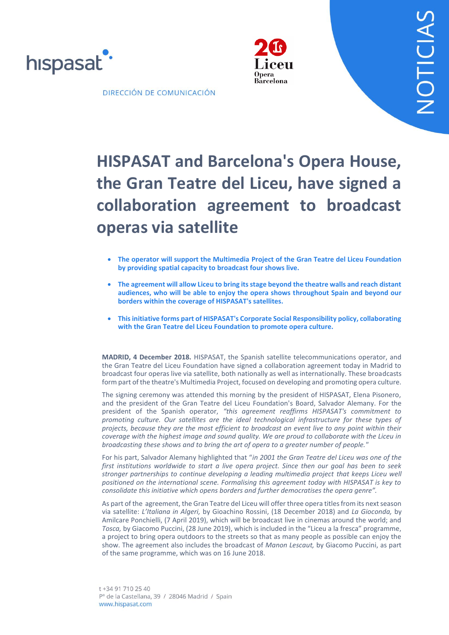



DIRECCIÓN DE COMUNICACIÓN

# **HISPASAT and Barcelona's Opera House, the Gran Teatre del Liceu, have signed a collaboration agreement to broadcast operas via satellite**

- **The operator will support the Multimedia Project of the Gran Teatre del Liceu Foundation by providing spatial capacity to broadcast four shows live.**
- **The agreement will allow Liceu to bring its stage beyond the theatre walls and reach distant audiences, who will be able to enjoy the opera shows throughout Spain and beyond our borders within the coverage of HISPASAT's satellites.**
- **This initiative forms part of HISPASAT's Corporate Social Responsibility policy, collaborating with the Gran Teatre del Liceu Foundation to promote opera culture.**

**MADRID, 4 December 2018.** HISPASAT, the Spanish satellite telecommunications operator, and the Gran Teatre del Liceu Foundation have signed a collaboration agreement today in Madrid to broadcast four operas live via satellite, both nationally as well as internationally. These broadcasts form part of the theatre's Multimedia Project, focused on developing and promoting opera culture.

The signing ceremony was attended this morning by the president of HISPASAT, Elena Pisonero, and the president of the Gran Teatre del Liceu Foundation's Board, Salvador Alemany. For the president of the Spanish operator, *"this agreement reaffirms HISPASAT's commitment to promoting culture. Our satellites are the ideal technological infrastructure for these types of projects, because they are the most efficient to broadcast an event live to any point within their coverage with the highest image and sound quality. We are proud to collaborate with the Liceu in broadcasting these shows and to bring the art of opera to a greater number of people."*

For his part, Salvador Alemany highlighted that "*in 2001 the Gran Teatre del Liceu was one of the first institutions worldwide to start a live opera project. Since then our goal has been to seek stronger partnerships to continue developing a leading multimedia project that keeps Liceu well positioned on the international scene. Formalising this agreement today with HISPASAT is key to consolidate this initiative which opens borders and further democratises the opera genre".*

As part of the agreement, the Gran Teatre del Liceu will offer three opera titles from its next season via satellite: *L'Italiana in Algeri,* by Gioachino Rossini, (18 December 2018) and *La Gioconda,* by Amilcare Ponchielli, (7 April 2019), which will be broadcast live in cinemas around the world; and *Tosca,* by Giacomo Puccini, (28 June 2019), which is included in the "Liceu a la fresca" programme, a project to bring opera outdoors to the streets so that as many people as possible can enjoy the show. The agreement also includes the broadcast of *Manon Lescaut,* by Giacomo Puccini, as part of the same programme, which was on 16 June 2018.